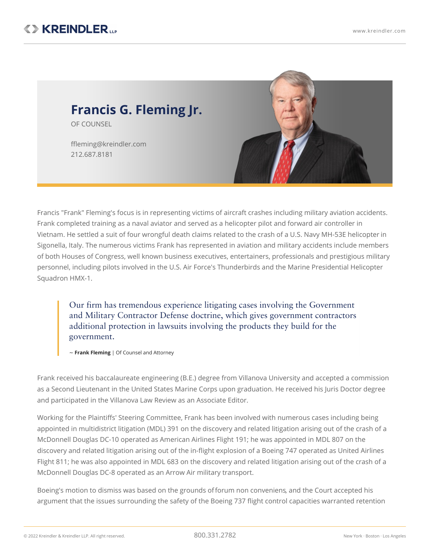

Francis "Frank" Fleming's focus is in representing victims of aircraft crashes including military aviation accidents. Frank completed training as a naval aviator and served as a helicopter pilot and forward air controller in Vietnam. He settled a suit of four wrongful death claims related to the crash of a U.S. Navy MH-53E [helicopter](https://www.kreindler.com/news/settlement-us-navy-mh-53e-sigonella-italy) in Sigonella, Italy. The numerous victims Frank has represented in aviation and military accidents include members of both Houses of Congress, well known business executives, entertainers, professionals and prestigious military personnel, including pilots involved in the U.S. Air Force's Thunderbirds and the Marine Presidential Helicopter Squadron HMX-1.

Our firm has tremendous experience litigating cases involving the Government and Military Contractor Defense doctrine, which gives government contractors additional protection in lawsuits involving the products they build for the government.

~ **Frank Fleming** | Of Counsel and Attorney

Frank received his baccalaureate engineering (B.E.) degree from Villanova University and accepted a commission as a Second Lieutenant in the United States Marine Corps upon graduation. He received his Juris Doctor degree and participated in the Villanova Law Review as an Associate Editor.

Working for the Plaintiffs' Steering Committee, Frank has been involved with numerous cases including being appointed in multidistrict litigation (MDL) 391 on the discovery and related litigation arising out of the crash of a McDonnell Douglas DC-10 operated as American Airlines Flight 191; he was appointed in MDL 807 on the discovery and related litigation arising out of the in-flight explosion of a Boeing 747 operated as United Airlines Flight 811; he was also appointed in MDL 683 on the discovery and related litigation arising out of the crash of a McDonnell Douglas DC-8 operated as an Arrow Air military transport.

Boeing's motion to dismiss was based on the grounds offorum non [conveniens](https://www.kreindler.com/library/forum-non-conveniens), and the Court accepted his argument that the issues surrounding the safety of the Boeing 737 flight control capacities warranted retention